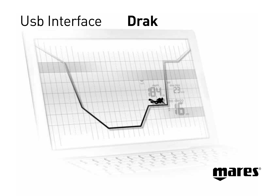#### Usb Interface **Drak**



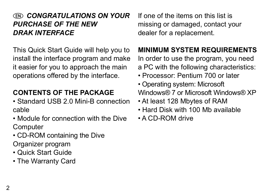#### *CONGRATULATIONS ON YOUR PURCHASE OF THE NEW DRAK INTERFACE*

This Quick Start Guide will help you to install the interface program and make it easier for you to approach the main operations offered by the interface.

# **CONTENTS OF THE PACKAGE**

• Standard USB 2.0 Mini-B connection cable

- Module for connection with the Dive **Computer**
- CD-ROM containing the Dive Organizer program
- Quick Start Guide
- The Warranty Card

If one of the items on this list is missing or damaged, contact your dealer for a replacement.

# **MINIMUM SYSTEM REQUIREMENTS**

In order to use the program, you need a PC with the following characteristics:

- Processor: Pentium 700 or later
- Operating system: Microsoft Windows® 7 or Microsoft Windows® XP
- At least 128 Mbytes of RAM
- Hard Disk with 100 Mb available
- A CD-ROM drive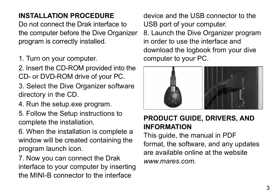# **INSTALLATION PROCEDURE**

Do not connect the Drak interface to the computer before the Dive Organizer program is correctly installed.

1. Turn on your computer.

2. Insert the CD-ROM provided into the CD- or DVD-ROM drive of your PC.

- 3. Select the Dive Organizer software directory in the CD.
- 4. Run the setup.exe program.

5. Follow the Setup instructions to complete the installation.

6. When the installation is complete a window will be created containing the program launch icon.

7. Now you can connect the Drak interface to your computer by inserting the MINI-B connector to the interface

device and the USB connector to the USB port of your computer.

8. Launch the Dive Organizer program in order to use the interface and download the logbook from your dive computer to your PC.



#### **PRODUCT GUIDE, DRIVERS, AND INFORMATION**

This guide, the manual in PDF format, the software, and any updates are available online at the website *www.mares.com*.